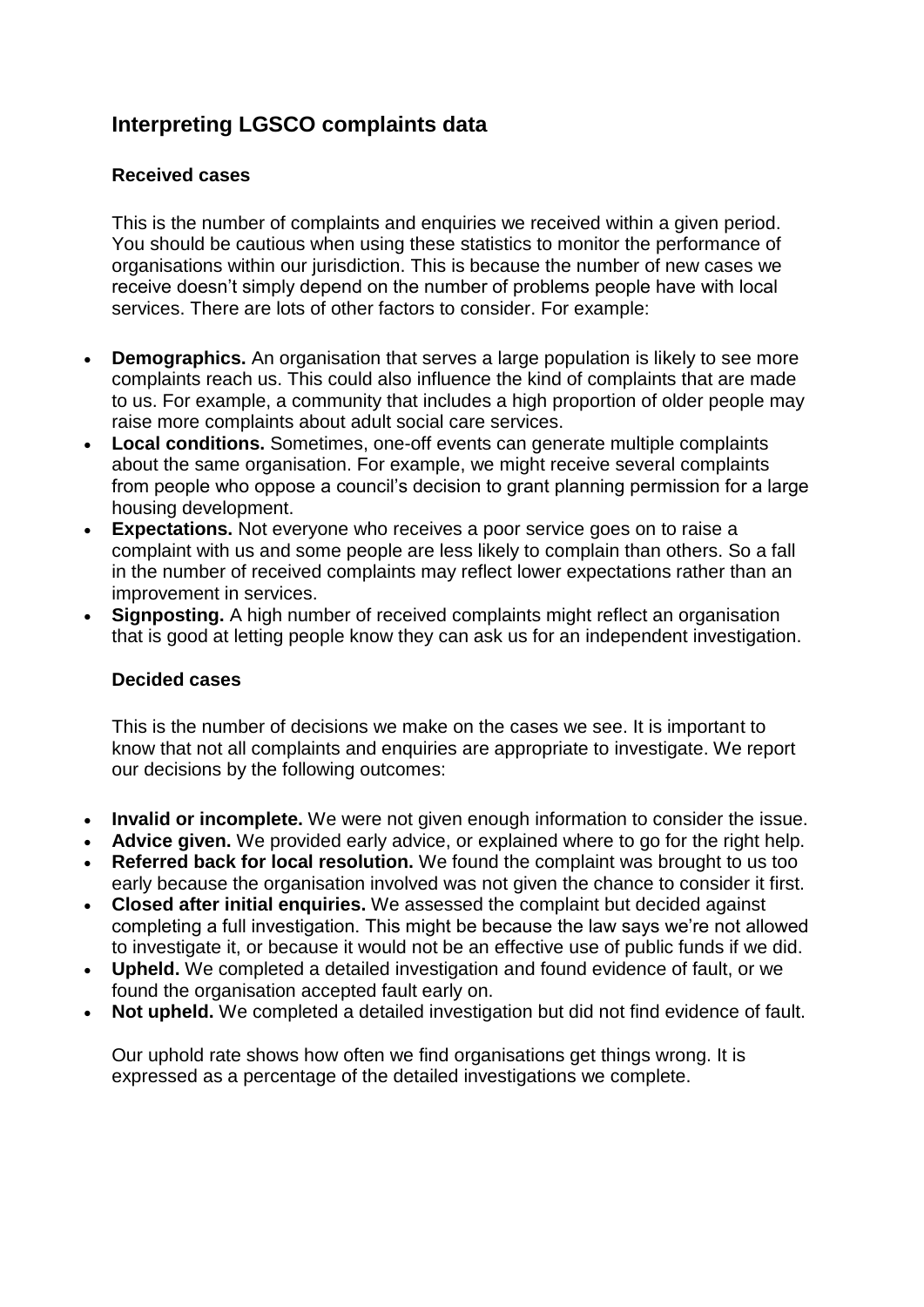## **Interpreting LGSCO complaints data**

## **Received cases**

This is the number of complaints and enquiries we received within a given period. You should be cautious when using these statistics to monitor the performance of organisations within our jurisdiction. This is because the number of new cases we receive doesn't simply depend on the number of problems people have with local services. There are lots of other factors to consider. For example:

- **Demographics.** An organisation that serves a large population is likely to see more complaints reach us. This could also influence the kind of complaints that are made to us. For example, a community that includes a high proportion of older people may raise more complaints about adult social care services.
- **Local conditions.** Sometimes, one-off events can generate multiple complaints about the same organisation. For example, we might receive several complaints from people who oppose a council's decision to grant planning permission for a large housing development.
- **Expectations.** Not everyone who receives a poor service goes on to raise a complaint with us and some people are less likely to complain than others. So a fall in the number of received complaints may reflect lower expectations rather than an improvement in services.
- **Signposting.** A high number of received complaints might reflect an organisation that is good at letting people know they can ask us for an independent investigation.

## **Decided cases**

This is the number of decisions we make on the cases we see. It is important to know that not all complaints and enquiries are appropriate to investigate. We report our decisions by the following outcomes:

- **Invalid or incomplete.** We were not given enough information to consider the issue.
- **Advice given.** We provided early advice, or explained where to go for the right help.
- **Referred back for local resolution.** We found the complaint was brought to us too early because the organisation involved was not given the chance to consider it first.
- **Closed after initial enquiries.** We assessed the complaint but decided against completing a full investigation. This might be because the law says we're not allowed to investigate it, or because it would not be an effective use of public funds if we did.
- **Upheld.** We completed a detailed investigation and found evidence of fault, or we found the organisation accepted fault early on.
- **Not upheld.** We completed a detailed investigation but did not find evidence of fault.

Our uphold rate shows how often we find organisations get things wrong. It is expressed as a percentage of the detailed investigations we complete.